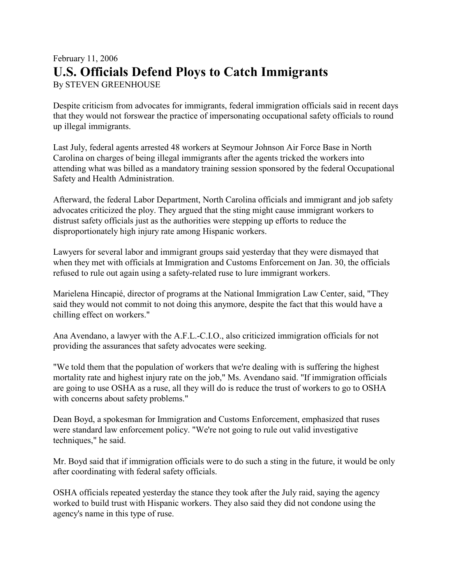## February 11, 2006 **U.S. Officials Defend Ploys to Catch Immigrants**  By STEVEN GREENHOUSE

Despite criticism from advocates for immigrants, federal immigration officials said in recent days that they would not forswear the practice of impersonating occupational safety officials to round up illegal immigrants.

Last July, federal agents arrested 48 workers at Seymour Johnson Air Force Base in North Carolina on charges of being illegal immigrants after the agents tricked the workers into attending what was billed as a mandatory training session sponsored by the federal Occupational Safety and Health Administration.

Afterward, the federal Labor Department, North Carolina officials and immigrant and job safety advocates criticized the ploy. They argued that the sting might cause immigrant workers to distrust safety officials just as the authorities were stepping up efforts to reduce the disproportionately high injury rate among Hispanic workers.

Lawyers for several labor and immigrant groups said yesterday that they were dismayed that when they met with officials at Immigration and Customs Enforcement on Jan. 30, the officials refused to rule out again using a safety-related ruse to lure immigrant workers.

Marielena Hincapié, director of programs at the National Immigration Law Center, said, "They said they would not commit to not doing this anymore, despite the fact that this would have a chilling effect on workers."

Ana Avendano, a lawyer with the A.F.L.-C.I.O., also criticized immigration officials for not providing the assurances that safety advocates were seeking.

"We told them that the population of workers that we're dealing with is suffering the highest mortality rate and highest injury rate on the job," Ms. Avendano said. "If immigration officials are going to use OSHA as a ruse, all they will do is reduce the trust of workers to go to OSHA with concerns about safety problems."

Dean Boyd, a spokesman for Immigration and Customs Enforcement, emphasized that ruses were standard law enforcement policy. "We're not going to rule out valid investigative techniques," he said.

Mr. Boyd said that if immigration officials were to do such a sting in the future, it would be only after coordinating with federal safety officials.

OSHA officials repeated yesterday the stance they took after the July raid, saying the agency worked to build trust with Hispanic workers. They also said they did not condone using the agency's name in this type of ruse.